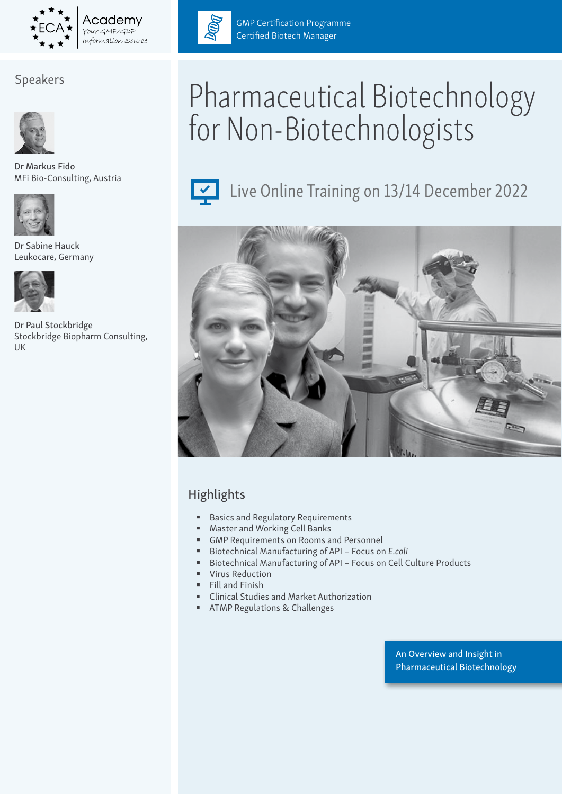

Your GMP/GDP

# Speakers



Dr Markus Fido MFi Bio-Consulting, Austria



Sabine Hauck Leukocare, Germany



Dr Paul Stockbridge Stockbridge Biopharm Consulting, UK



GMP Certification Programme Certified Biotech Manager

# Pharmaceutical Biotechnology for Non-Biotechnologists



Live Online Training on 13/14 December 2022



# Highlights

- **Basics and Regulatory Requirements**
- Master and Working Cell Banks
- GMP Requirements on Rooms and Personnel
- Biotechnical Manufacturing of API Focus on *E.coli*
- Biotechnical Manufacturing of API Focus on Cell Culture Products
- **Virus Reduction**
- **Fill and Finish**
- Clinical Studies and Market Authorization
- **EXECUTE:** ATMP Regulations & Challenges

An Overview and Insight in Pharmaceutical Biotechnology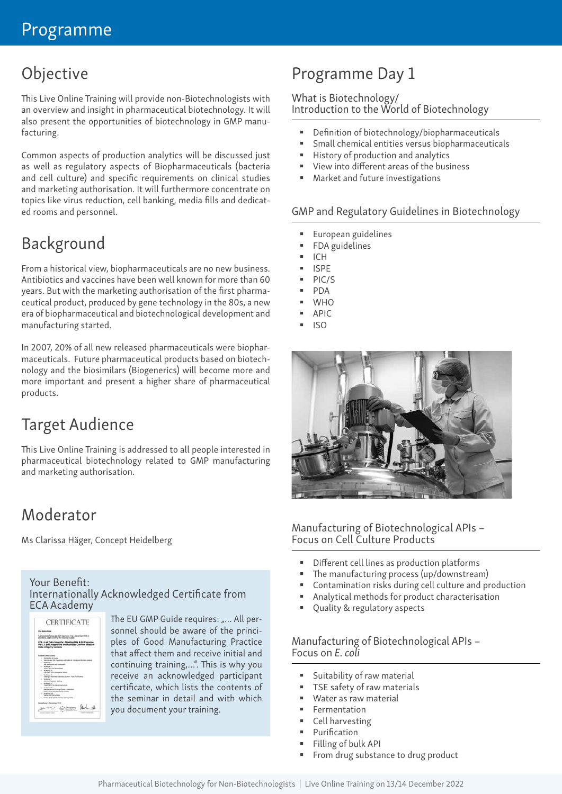# Objective

This Live Online Training will provide non-Biotechnologists with an overview and insight in pharmaceutical biotechnology. It will also present the opportunities of biotechnology in GMP manufacturing.

Common aspects of production analytics will be discussed just as well as regulatory aspects of Biopharmaceuticals (bacteria and cell culture) and specific requirements on clinical studies and marketing authorisation. It will furthermore concentrate on topics like virus reduction, cell banking, media fills and dedicated rooms and personnel.

# Background

From a historical view, biopharmaceuticals are no new business. Antibiotics and vaccines have been well known for more than 60 years. But with the marketing authorisation of the first pharmaceutical product, produced by gene technology in the 80s, a new era of biopharmaceutical and biotechnological development and manufacturing started.

In 2007, 20% of all new released pharmaceuticals were biopharmaceuticals. Future pharmaceutical products based on biotechnology and the biosimilars (Biogenerics) will become more and more important and present a higher share of pharmaceutical products.

# Target Audience

This Live Online Training is addressed to all people interested in pharmaceutical biotechnology related to GMP manufacturing and marketing authorisation.

# Moderator

Ms Clarissa Häger, Concept Heidelberg

#### Your Benefit: Internationally Acknowledged Certificate from ECA Academy

|             | Mr John Doe                                                                                                                               |
|-------------|-------------------------------------------------------------------------------------------------------------------------------------------|
|             | a ten ala fill in Cautes on 2 to 6<br>December 2019 of<br>the Seat Lineries for Silvering subset                                          |
|             | ECA - Lab Data Integrity - Meeting FOA & EU Con-<br>Part 2: Self Inspections and Audits In Confere Effe<br><b>Buts Integrity Controls</b> |
|             | <b>LATIN AND</b>                                                                                                                          |
|             | <b>Trace Translat</b>                                                                                                                     |
|             |                                                                                                                                           |
|             | <b>Britisherie Rd</b>                                                                                                                     |
|             | Chuin at at hing is                                                                                                                       |
|             | <b>Received St</b><br>Audriting in the                                                                                                    |
|             | + Seems 2<br>a tuais                                                                                                                      |
|             | <b>Richmond</b><br><b>Exchange Co</b>                                                                                                     |
|             | - Michael VI<br>Transfer for the Const Linear                                                                                             |
| <b>A</b> 99 | <b>Obsyriation and Fielding States 2 Litteries</b><br>Audi and Paneley the Charles Mastery                                                |
|             |                                                                                                                                           |
|             | * Webma'res                                                                                                                               |

The EU GMP Guide requires: "... All personnel should be aware of the principles of Good Manufacturing Practice that affect them and receive initial and continuing training,…". This is why you receive an acknowledged participant certificate, which lists the contents of the seminar in detail and with which you document your training.

# Programme Day 1

### What is Biotechnology/

Introduction to the World of Biotechnology

- Definition of biotechnology/biopharmaceuticals
- Small chemical entities versus biopharmaceuticals
- **History of production and analytics**
- View into different areas of the business
- Market and future investigations

#### GMP and Regulatory Guidelines in Biotechnology

- European guidelines
- FDA guidelines
- ICH
- ISPE
- PIC/S
- PDA
- **WHO**
- APIC
- ISO



#### Manufacturing of Biotechnological APIs – Focus on Cell Culture Products

- Different cell lines as production platforms
- The manufacturing process (up/downstream)
- Contamination risks during cell culture and production
- Analytical methods for product characterisation
- Quality & regulatory aspects

#### Manufacturing of Biotechnological APIs – Focus on *E. coli*

- Suitability of raw material
- TSE safety of raw materials
- Water as raw material
- Fermentation
- **Cell harvesting**
- Purification
- Filling of bulk API
- From drug substance to drug product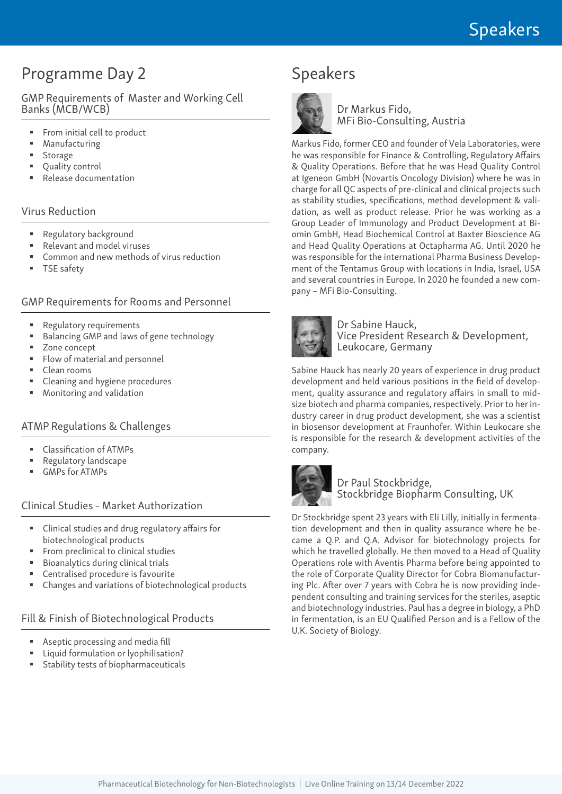# Programme Day 2

GMP Requirements of Master and Working Cell Banks (MCB/WCB)

- From initial cell to product
- Manufacturing
- **Storage**
- Quality control
- Release documentation

#### Virus Reduction

- **Regulatory background**
- Relevant and model viruses
- Common and new methods of virus reduction
- TSE safety

#### GMP Requirements for Rooms and Personnel

- **Regulatory requirements**
- Balancing GMP and laws of gene technology
- Zone concept
- Flow of material and personnel
- Clean rooms
- Cleaning and hygiene procedures
- Monitoring and validation

#### ATMP Regulations & Challenges

- Classification of ATMPs
- Regulatory landscape
- GMPs for ATMPs

#### Clinical Studies - Market Authorization

- Clinical studies and drug regulatory affairs for biotechnological products
- From preclinical to clinical studies
- Bioanalytics during clinical trials
- Centralised procedure is favourite
- Changes and variations of biotechnological products

#### Fill & Finish of Biotechnological Products

- Aseptic processing and media fill
- Liquid formulation or lyophilisation?
- Stability tests of biopharmaceuticals

# Speakers



Dr Markus Fido, MFi Bio-Consulting, Austria

Markus Fido, former CEO and founder of Vela Laboratories, were he was responsible for Finance & Controlling, Regulatory Affairs & Quality Operations. Before that he was Head Quality Control at Igeneon GmbH (Novartis Oncology Division) where he was in charge for all QC aspects of pre-clinical and clinical projects such as stability studies, specifications, method development & validation, as well as product release. Prior he was working as a Group Leader of Immunology and Product Development at Biomin GmbH, Head Biochemical Control at Baxter Bioscience AG and Head Quality Operations at Octapharma AG. Until 2020 he was responsible for the international Pharma Business Development of the Tentamus Group with locations in India, Israel, USA and several countries in Europe. In 2020 he founded a new company – MFi Bio-Consulting.



#### Dr Sabine Hauck, Vice President Research & Development, Leukocare, Germany

Sabine Hauck has nearly 20 years of experience in drug product development and held various positions in the field of development, quality assurance and regulatory affairs in small to midsize biotech and pharma companies, respectively. Prior to her industry career in drug product development, she was a scientist in biosensor development at Fraunhofer. Within Leukocare she is responsible for the research & development activities of the company.



#### Dr Paul Stockbridge, Stockbridge Biopharm Consulting, UK

Dr Stockbridge spent 23 years with Eli Lilly, initially in fermentation development and then in quality assurance where he became a Q.P. and Q.A. Advisor for biotechnology projects for which he travelled globally. He then moved to a Head of Quality Operations role with Aventis Pharma before being appointed to the role of Corporate Quality Director for Cobra Biomanufacturing Plc. After over 7 years with Cobra he is now providing independent consulting and training services for the steriles, aseptic and biotechnology industries. Paul has a degree in biology, a PhD in fermentation, is an EU Qualified Person and is a Fellow of the U.K. Society of Biology.